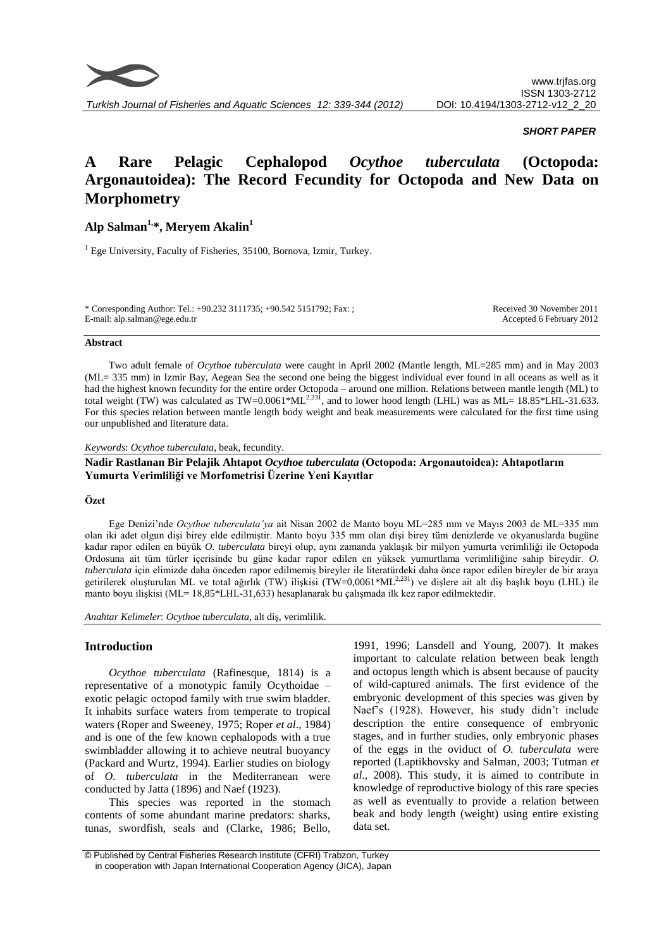

# *SHORT PAPER*

# **A Rare Pelagic Cephalopod** *Ocythoe tuberculata* **(Octopoda: Argonautoidea): The Record Fecundity for Octopoda and New Data on Morphometry**

# **Alp Salman1, \*, Meryem Akalin<sup>1</sup>**

 $<sup>1</sup>$  Ege University, Faculty of Fisheries, 35100, Bornova, Izmir, Turkey.</sup>

\* Corresponding Author: Tel.: +90.232 3111735; +90.542 5151792; Fax: ; E-mail: alp.salman@ege.edu.tr

Received 30 November 2011 Accepted 6 February 2012

#### **Abstract**

Two adult female of *Ocythoe tuberculata* were caught in April 2002 (Mantle length, ML=285 mm) and in May 2003 (ML= 335 mm) in Izmir Bay, Aegean Sea the second one being the biggest individual ever found in all oceans as well as it had the highest known fecundity for the entire order Octopoda – around one million. Relations between mantle length (ML) to total weight (TW) was calculated as TW=0.0061\*ML<sup>2.231</sup>, and to lower hood length (LHL) was as ML=  $18.85*$ LHL-31.633. For this species relation between mantle length body weight and beak measurements were calculated for the first time using our unpublished and literature data.

### *Keywords*: *Ocythoe tuberculata*, beak, fecundity.

**Nadir Rastlanan Bir Pelajik Ahtapot** *Ocythoe tuberculata* **(Octopoda: Argonautoidea): Ahtapotların Yumurta Verimliliği ve Morfometrisi Üzerine Yeni Kayıtlar**

# **Özet**

Ege Denizi'nde *Ocythoe tuberculata'ya* ait Nisan 2002 de Manto boyu ML=285 mm ve Mayıs 2003 de ML=335 mm olan iki adet olgun dişi birey elde edilmiştir. Manto boyu 335 mm olan dişi birey tüm denizlerde ve okyanuslarda bugüne kadar rapor edilen en büyük *O. tuberculata* bireyi olup, aynı zamanda yaklaşık bir milyon yumurta verimliliği ile Octopoda Ordosuna ait tüm türler içerisinde bu güne kadar rapor edilen en yüksek yumurtlama verimliliğine sahip bireydir. *O. tuberculata* için elimizde daha önceden rapor edilmemiş bireyler ile literatürdeki daha önce rapor edilen bireyler de bir araya getirilerek oluşturulan ML ve total ağırlık (TW) ilişkisi (TW=0,0061\*ML2,231) ve dişlere ait alt diş başlık boyu (LHL) ile manto boyu ilişkisi (ML= 18,85\*LHL-31,633) hesaplanarak bu çalışmada ilk kez rapor edilmektedir.

*Anahtar Kelimeler*: *Ocythoe tuberculata*, alt diş, verimlilik.

# **Introduction**

*Ocythoe tuberculata* (Rafinesque, 1814) is a representative of a monotypic family Ocythoidae – exotic pelagic octopod family with true swim bladder. It inhabits surface waters from temperate to tropical waters (Roper and Sweeney, 1975; Roper *et al*., 1984) and is one of the few known cephalopods with a true swimbladder allowing it to achieve neutral buoyancy (Packard and Wurtz, 1994). Earlier studies on biology of *O. tuberculata* in the Mediterranean were conducted by Jatta (1896) and Naef (1923).

This species was reported in the stomach contents of some abundant marine predators: sharks, tunas, swordfish, seals and (Clarke, 1986; Bello,

1991, 1996; Lansdell and Young, 2007). It makes important to calculate relation between beak length and octopus length which is absent because of paucity of wild-captured animals. The first evidence of the embryonic development of this species was given by Naef's (1928). However, his study didn't include description the entire consequence of embryonic stages, and in further studies, only embryonic phases of the eggs in the oviduct of *O. tuberculata* were reported (Laptikhovsky and Salman, 2003; Tutman *et al*., 2008). This study, it is aimed to contribute in knowledge of reproductive biology of this rare species as well as eventually to provide a relation between beak and body length (weight) using entire existing data set.

<sup>©</sup> Published by Central Fisheries Research Institute (CFRI) Trabzon, Turkey in cooperation with Japan International Cooperation Agency (JICA), Japan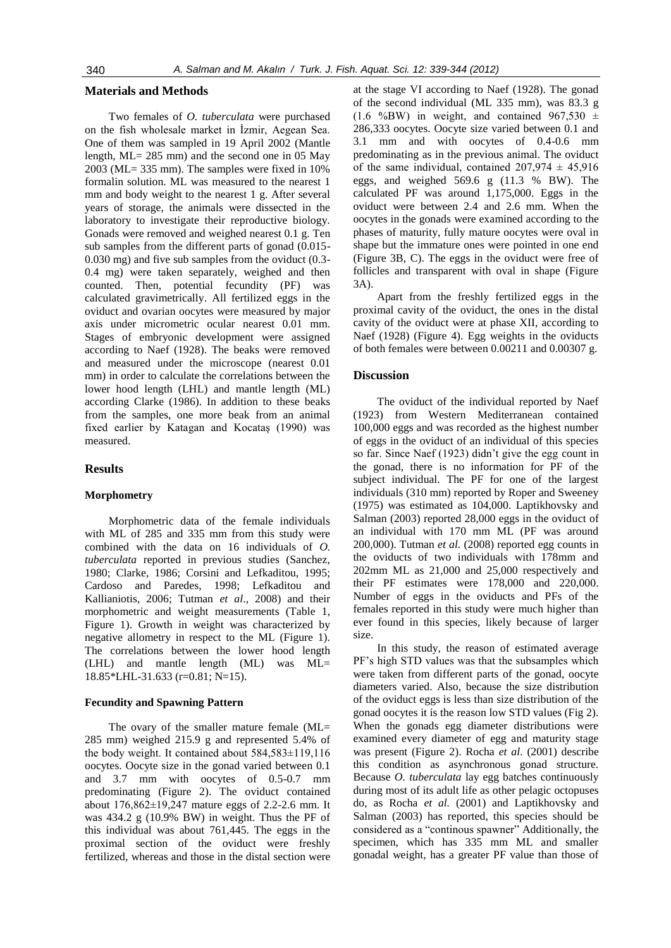#### **Materials and Methods**

Two females of *O. tuberculata* were purchased on the fish wholesale market in İzmir, Aegean Sea. One of them was sampled in 19 April 2002 (Mantle length, ML= 285 mm) and the second one in 05 May 2003 (ML= 335 mm). The samples were fixed in 10% formalin solution. ML was measured to the nearest 1 mm and body weight to the nearest 1 g. After several years of storage, the animals were dissected in the laboratory to investigate their reproductive biology. Gonads were removed and weighed nearest 0.1 g. Ten sub samples from the different parts of gonad (0.015- 0.030 mg) and five sub samples from the oviduct (0.3- 0.4 mg) were taken separately, weighed and then counted. Then, potential fecundity (PF) was calculated gravimetrically. All fertilized eggs in the oviduct and ovarian oocytes were measured by major axis under micrometric ocular nearest 0.01 mm. Stages of embryonic development were assigned according to Naef (1928). The beaks were removed and measured under the microscope (nearest 0.01 mm) in order to calculate the correlations between the lower hood length (LHL) and mantle length (ML) according Clarke (1986). In addition to these beaks from the samples, one more beak from an animal fixed earlier by Katagan and Kocataş (1990) was measured.

# **Results**

#### **Morphometry**

Morphometric data of the female individuals with ML of 285 and 335 mm from this study were combined with the data on 16 individuals of *O. tuberculata* reported in previous studies (Sanchez, 1980; Clarke, 1986; Corsini and Lefkaditou, 1995; Cardoso and Paredes, 1998; Lefkaditou and Kallianiotis, 2006; Tutman *et al*., 2008) and their morphometric and weight measurements (Table 1, Figure 1). Growth in weight was characterized by negative allometry in respect to the ML (Figure 1). The correlations between the lower hood length (LHL) and mantle length (ML) was ML= 18.85\*LHL-31.633 (r=0.81; N=15).

#### **Fecundity and Spawning Pattern**

The ovary of the smaller mature female (ML= 285 mm) weighed 215.9 g and represented 5.4% of the body weight. It contained about 584,583±119,116 oocytes. Oocyte size in the gonad varied between 0.1 and 3.7 mm with oocytes of 0.5-0.7 mm predominating (Figure 2). The oviduct contained about 176,862±19,247 mature eggs of 2.2-2.6 mm. It was 434.2 g (10.9% BW) in weight. Thus the PF of this individual was about 761,445. The eggs in the proximal section of the oviduct were freshly fertilized, whereas and those in the distal section were

at the stage VI according to Naef (1928). The gonad of the second individual (ML 335 mm), was 83.3 g  $(1.6 \text{ %BW})$  in weight, and contained 967,530  $\pm$ 286,333 oocytes. Oocyte size varied between 0.1 and 3.1 mm and with oocytes of 0.4-0.6 mm predominating as in the previous animal. The oviduct of the same individual, contained  $207.974 \pm 45.916$ eggs, and weighed 569.6 g (11.3 % BW). The calculated PF was around 1,175,000. Eggs in the oviduct were between 2.4 and 2.6 mm. When the oocytes in the gonads were examined according to the phases of maturity, fully mature oocytes were oval in shape but the immature ones were pointed in one end (Figure 3B, C). The eggs in the oviduct were free of follicles and transparent with oval in shape (Figure 3A).

Apart from the freshly fertilized eggs in the proximal cavity of the oviduct, the ones in the distal cavity of the oviduct were at phase XII, according to Naef (1928) (Figure 4). Egg weights in the oviducts of both females were between 0.00211 and 0.00307 g.

# **Discussion**

The oviduct of the individual reported by Naef (1923) from Western Mediterranean contained 100,000 eggs and was recorded as the highest number of eggs in the oviduct of an individual of this species so far. Since Naef (1923) didn't give the egg count in the gonad, there is no information for PF of the subject individual. The PF for one of the largest individuals (310 mm) reported by Roper and Sweeney (1975) was estimated as 104,000. Laptikhovsky and Salman (2003) reported 28,000 eggs in the oviduct of an individual with 170 mm ML (PF was around 200,000). Tutman *et al.* (2008) reported egg counts in the oviducts of two individuals with 178mm and 202mm ML as 21,000 and 25,000 respectively and their PF estimates were 178,000 and 220,000. Number of eggs in the oviducts and PFs of the females reported in this study were much higher than ever found in this species, likely because of larger size.

In this study, the reason of estimated average PF's high STD values was that the subsamples which were taken from different parts of the gonad, oocyte diameters varied. Also, because the size distribution of the oviduct eggs is less than size distribution of the gonad oocytes it is the reason low STD values (Fig 2). When the gonads egg diameter distributions were examined every diameter of egg and maturity stage was present (Figure 2). Rocha *et al*. (2001) describe this condition as asynchronous gonad structure. Because *O. tuberculata* lay egg batches continuously during most of its adult life as other pelagic octopuses do, as Rocha *et al.* (2001) and Laptikhovsky and Salman (2003) has reported, this species should be considered as a "continous spawner" Additionally, the specimen, which has 335 mm ML and smaller gonadal weight, has a greater PF value than those of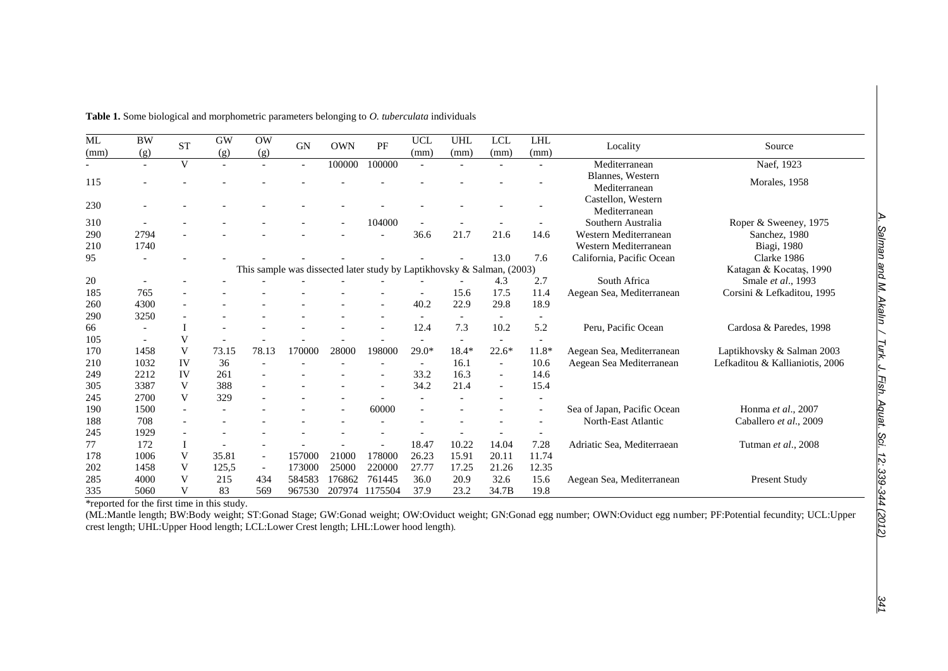| ML<br>(mm) | <b>BW</b><br>(g)                                                       | <b>ST</b>    | <b>GW</b><br>(g) | <b>OW</b><br>(g)         | <b>GN</b> | <b>OWN</b> | $\rm PF$       | <b>UCL</b><br>(mm) | <b>UHL</b><br>(mm)       | LCL<br>(mm)              | <b>LHL</b><br>(mm)       | Locality                            | Source                          |
|------------|------------------------------------------------------------------------|--------------|------------------|--------------------------|-----------|------------|----------------|--------------------|--------------------------|--------------------------|--------------------------|-------------------------------------|---------------------------------|
|            |                                                                        | V            |                  |                          |           | 100000     | 100000         |                    |                          |                          |                          | Mediterranean                       | Naef, 1923                      |
| 115        |                                                                        |              |                  |                          |           |            |                |                    |                          |                          |                          | Blannes, Western<br>Mediterranean   | Morales, 1958                   |
| 230        |                                                                        |              |                  |                          |           |            |                |                    |                          |                          |                          | Castellon, Western<br>Mediterranean |                                 |
| 310        |                                                                        |              |                  |                          |           |            | 104000         |                    |                          |                          |                          | Southern Australia                  | Roper & Sweeney, 1975           |
| 290        | 2794                                                                   |              |                  |                          |           |            |                | 36.6               | 21.7                     | 21.6                     | 14.6                     | Western Mediterranean               | Sanchez, 1980                   |
| 210        | 1740                                                                   |              |                  |                          |           |            |                |                    |                          |                          |                          | Western Mediterranean               | <b>Biagi</b> , 1980             |
| 95         |                                                                        |              |                  |                          |           |            |                |                    |                          | 13.0                     | 7.6                      | California, Pacific Ocean           | Clarke 1986                     |
|            | This sample was dissected later study by Laptikhovsky & Salman, (2003) |              |                  |                          |           |            |                |                    |                          |                          |                          |                                     | Katagan & Kocataş, 1990         |
| 20         |                                                                        |              |                  |                          |           |            |                |                    |                          | 4.3                      | 2.7                      | South Africa                        | Smale et al., 1993              |
| 185        | 765                                                                    |              |                  |                          |           |            |                |                    | 15.6                     | 17.5                     | 11.4                     | Aegean Sea, Mediterranean           | Corsini & Lefkaditou, 1995      |
| 260        | 4300                                                                   |              |                  |                          |           |            |                | 40.2               | 22.9                     | 29.8                     | 18.9                     |                                     |                                 |
| 290        | 3250                                                                   |              |                  |                          |           |            |                |                    | $\overline{\phantom{a}}$ |                          |                          |                                     |                                 |
| 66         |                                                                        |              |                  |                          |           |            |                | 12.4               | 7.3                      | 10.2                     | 5.2                      | Peru, Pacific Ocean                 | Cardosa & Paredes, 1998         |
| 105        | $\overline{\phantom{a}}$                                               | V            |                  |                          |           |            |                |                    | $\overline{\phantom{a}}$ | $\overline{\phantom{a}}$ | $\overline{\phantom{a}}$ |                                     |                                 |
| 170        | 1458                                                                   | V            | 73.15            | 78.13                    | 170000    | 28000      | 198000         | $29.0*$            | 18.4*                    | $22.6*$                  | $11.8*$                  | Aegean Sea, Mediterranean           | Laptikhovsky & Salman 2003      |
| 210        | 1032                                                                   | IV           | 36               |                          |           |            |                |                    | 16.1                     | $\overline{\phantom{a}}$ | 10.6                     | Aegean Sea Mediterranean            | Lefkaditou & Kallianiotis, 2006 |
| 249        | 2212                                                                   | IV           | 261              |                          |           |            |                | 33.2               | 16.3                     | $\overline{\phantom{a}}$ | 14.6                     |                                     |                                 |
| 305        | 3387                                                                   | V            | 388              |                          |           |            |                | 34.2               | 21.4                     |                          | 15.4                     |                                     |                                 |
| 245        | 2700                                                                   | V            | 329              |                          |           |            |                |                    |                          |                          |                          |                                     |                                 |
| 190        | 1500                                                                   |              |                  |                          |           |            | 60000          |                    |                          |                          |                          | Sea of Japan, Pacific Ocean         | Honma et al., 2007              |
| 188        | 708                                                                    |              |                  |                          |           |            |                |                    |                          |                          |                          | North-East Atlantic                 | Caballero et al., 2009          |
| 245        | 1929                                                                   |              |                  |                          |           |            |                |                    |                          |                          |                          |                                     |                                 |
| 77         | 172                                                                    |              |                  |                          |           |            |                | 18.47              | 10.22                    | 14.04                    | 7.28                     | Adriatic Sea, Mediterraean          | Tutman et al., 2008             |
| 178        | 1006                                                                   | V            | 35.81            | $\sim$                   | 157000    | 21000      | 178000         | 26.23              | 15.91                    | 20.11                    | 11.74                    |                                     |                                 |
| 202        | 1458                                                                   | V            | 125,5            | $\overline{\phantom{a}}$ | 173000    | 25000      | 220000         | 27.77              | 17.25                    | 21.26                    | 12.35                    |                                     |                                 |
| 285        | 4000                                                                   | V            | 215              | 434                      | 584583    | 176862     | 761445         | 36.0               | 20.9                     | 32.6                     | 15.6                     | Aegean Sea, Mediterranean           | <b>Present Study</b>            |
| 335        | 5060                                                                   | $\mathbf{V}$ | 83               | 569                      | 967530    |            | 207974 1175504 | 37.9               | 23.2                     | 34.7B                    | 19.8                     |                                     |                                 |

**Table 1.** Some biological and morphometric parameters belonging to *O. tuberculata* individuals

\*reported for the first time in this study.

(ML:Mantle length; BW:Body weight; ST:Gonad Stage; GW:Gonad weight; OW:Oviduct weight; GN:Gonad egg number; OWN:Oviduct egg number; PF:Potential fecundity; UCL:Upper crest length; UHL:Upper Hood length; LCL:Lower Crest length; LHL:Lower hood length).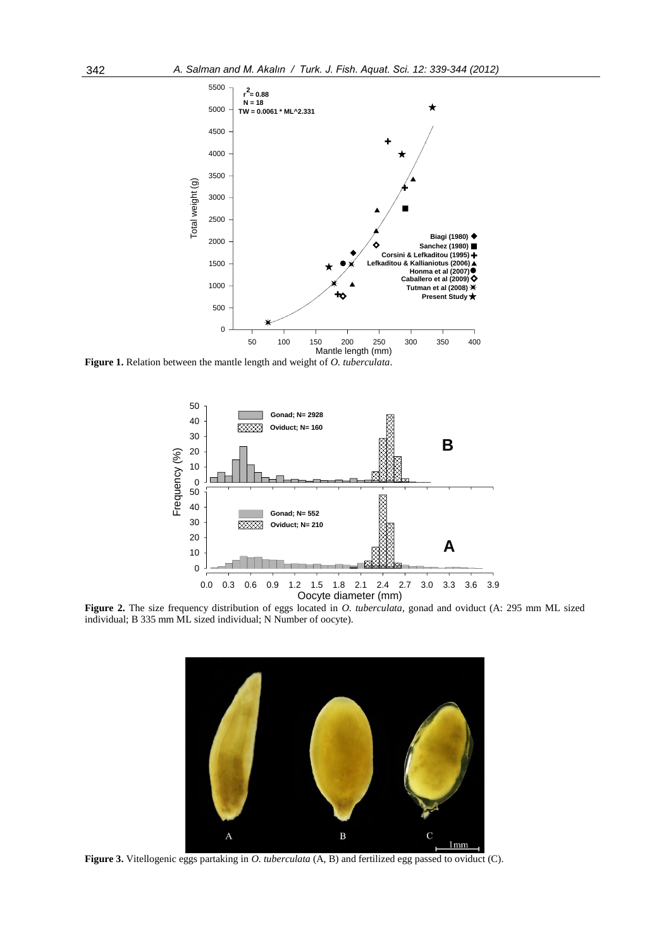

**Figure 1.** Relation between the mantle length and weight of *O. tuberculata*.



**Figure 2.** The size frequency distribution of eggs located in *O. tuberculata*, gonad and oviduct (A: 295 mm ML sized individual; B 335 mm ML sized individual; N Number of oocyte).



**Figure 3.** Vitellogenic eggs partaking in *O. tuberculata* (A, B) and fertilized egg passed to oviduct (C).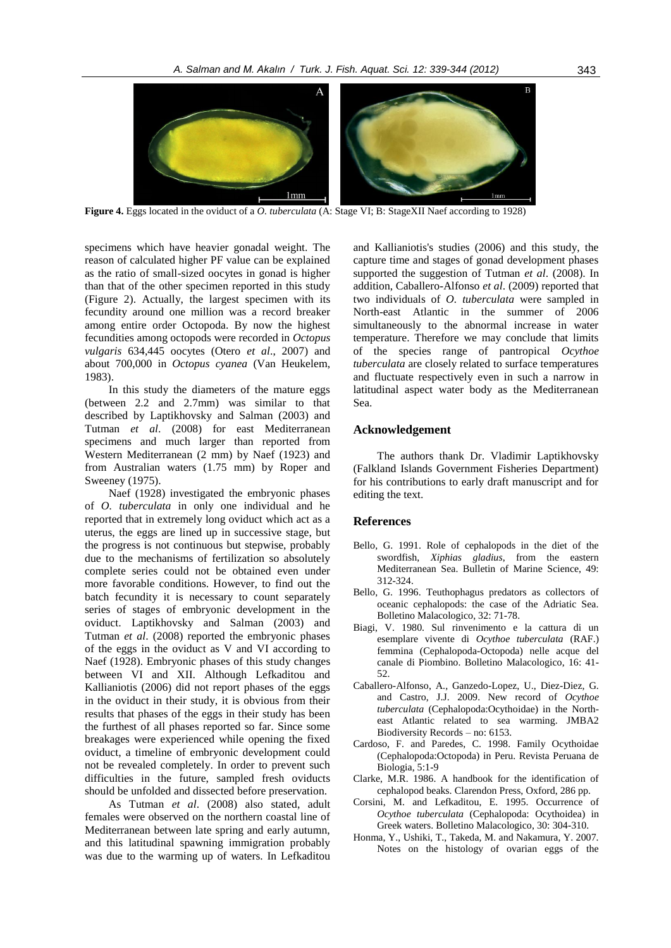

**Figure 4.** Eggs located in the oviduct of a *O. tuberculata* (A: Stage VI; B: StageXII Naef according to 1928)

specimens which have heavier gonadal weight. The reason of calculated higher PF value can be explained as the ratio of small-sized oocytes in gonad is higher than that of the other specimen reported in this study (Figure 2). Actually, the largest specimen with its fecundity around one million was a record breaker among entire order Octopoda. By now the highest fecundities among octopods were recorded in *Octopus vulgaris* 634,445 oocytes (Otero *et al*., 2007) and about 700,000 in *Octopus cyanea* (Van Heukelem, 1983).

In this study the diameters of the mature eggs (between 2.2 and 2.7mm) was similar to that described by Laptikhovsky and Salman (2003) and Tutman *et al*. (2008) for east Mediterranean specimens and much larger than reported from Western Mediterranean (2 mm) by Naef (1923) and from Australian waters (1.75 mm) by Roper and Sweeney (1975).

Naef (1928) investigated the embryonic phases of *O. tuberculata* in only one individual and he reported that in extremely long oviduct which act as a uterus, the eggs are lined up in successive stage, but the progress is not continuous but stepwise, probably due to the mechanisms of fertilization so absolutely complete series could not be obtained even under more favorable conditions. However, to find out the batch fecundity it is necessary to count separately series of stages of embryonic development in the oviduct. Laptikhovsky and Salman (2003) and Tutman *et al*. (2008) reported the embryonic phases of the eggs in the oviduct as V and VI according to Naef (1928). Embryonic phases of this study changes between VI and XII. Although Lefkaditou and Kallianiotis (2006) did not report phases of the eggs in the oviduct in their study, it is obvious from their results that phases of the eggs in their study has been the furthest of all phases reported so far. Since some breakages were experienced while opening the fixed oviduct, a timeline of embryonic development could not be revealed completely. In order to prevent such difficulties in the future, sampled fresh oviducts should be unfolded and dissected before preservation.

As Tutman *et al*. (2008) also stated, adult females were observed on the northern coastal line of Mediterranean between late spring and early autumn, and this latitudinal spawning immigration probably was due to the warming up of waters. In Lefkaditou and Kallianiotis's studies (2006) and this study, the capture time and stages of gonad development phases supported the suggestion of Tutman *et al*. (2008). In addition, Caballero-Alfonso *et al*. (2009) reported that two individuals of *O. tuberculata* were sampled in North-east Atlantic in the summer of 2006 simultaneously to the abnormal increase in water temperature. Therefore we may conclude that limits of the species range of pantropical *Ocythoe tuberculata* are closely related to surface temperatures and fluctuate respectively even in such a narrow in latitudinal aspect water body as the Mediterranean Sea.

# **Acknowledgement**

The authors thank Dr. Vladimir Laptikhovsky (Falkland Islands Government Fisheries Department) for his contributions to early draft manuscript and for editing the text.

# **References**

- Bello, G. 1991. Role of cephalopods in the diet of the swordfish, *Xiphias gladius*, from the eastern Mediterranean Sea. Bulletin of Marine Science, 49: 312-324.
- Bello, G. 1996. Teuthophagus predators as collectors of oceanic cephalopods: the case of the Adriatic Sea. Bolletino Malacologico, 32: 71-78.
- Biagi, V. 1980. Sul rinvenimento e la cattura di un esemplare vivente di *Ocythoe tuberculata* (RAF.) femmina (Cephalopoda-Octopoda) nelle acque del canale di Piombino. Bolletino Malacologico, 16: 41- 52.
- Caballero-Alfonso, A., Ganzedo-Lopez, U., Diez-Diez, G. and Castro, J.J. 2009. New record of *Ocythoe tuberculata* (Cephalopoda:Ocythoidae) in the Northeast Atlantic related to sea warming. JMBA2 Biodiversity Records – no: 6153.
- Cardoso, F. and Paredes, C. 1998. Family Ocythoidae (Cephalopoda:Octopoda) in Peru. Revista Peruana de Biologia, 5:1-9
- Clarke, M.R. 1986. A handbook for the identification of cephalopod beaks. Clarendon Press, Oxford, 286 pp.
- Corsini, M. and Lefkaditou, E. 1995. Occurrence of *Ocythoe tuberculata* (Cephalopoda: Ocythoidea) in Greek waters. Bolletino Malacologico, 30: 304-310.
- Honma, Y., Ushiki, T., Takeda, M. and Nakamura, Y. 2007. Notes on the histology of ovarian eggs of the